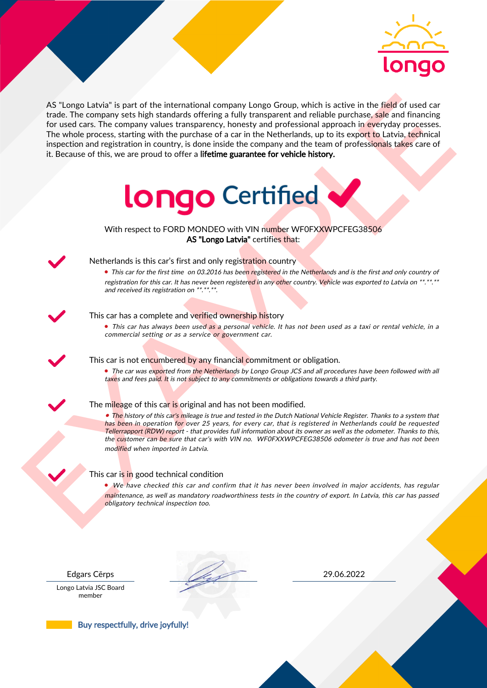

As the space tasked is part of the intermediate computer long to Group which is active in the field of used car<br>for the field of the computer suppression and the computer of a car in the Netherlands, up to its coord to La AS "Longo Latvia" is part of the international company Longo Group, which is active in the field of used car trade. The company sets high standards offering a fully transparent and reliable purchase, sale and financing for used cars. The company values transparency, honesty and professional approach in everyday processes. The whole process, starting with the purchase of a car in the Netherlands, up to its export to Latvia, technical inspection and registration in country, is done inside the company and the team of professionals takes care of it. Because of this, we are proud to offer a lifetime guarantee for vehicle history.



With respect to FORD MONDEO with VIN number WF0FXXWPCFEG38506 AS "Longo Latvia" certifies that:



# Netherlands is this car's first and only registration country

• This car for the first time on 03.2016 has been registered in the Netherlands and is the first and only country of registration for this car. It has never been registered in any other country. Vehicle was exported to Latvia on \*\*.\*\*.\*\* and received its registration on \*\*.\*\*.\*\*.

### This car has a complete and verified ownership history

• This car has always been used as a personal vehicle. It has not been used as a taxi or rental vehicle, in a commercial setting or as a service or government car.

This car is not encumbered by any financial commitment or obligation.

• The car was exported from the Netherlands by Longo Group JCS and all procedures have been followed with all taxes and fees paid. It is not subject to any commitments or obligations towards a third party.

### The mileage of this car is original and has not been modified.

• The history of this car's mileage is true and tested in the Dutch National Vehicle Register. Thanks to a system that has been in operation for over 25 years, for every car, that is registered in Netherlands could be requested Tellerrapport (RDW) report - that provides full information about its owner as well as the odometer. Thanks to this, the customer can be sure that car's with VIN no. WF0FXXWPCFEG38506 odometer is true and has not been modified when imported in Latvia.

### This car is in good technical condition

• We have checked this car and confirm that it has never been involved in major accidents, has regular maintenance, as well as mandatory roadworthiness tests in the country of export. In Latvia, this car has passed obligatory technical inspection too.

Longo Latvia JSC Board member

Edgars Cērps 29.06.2022

Buy respectfully, drive joyfully!